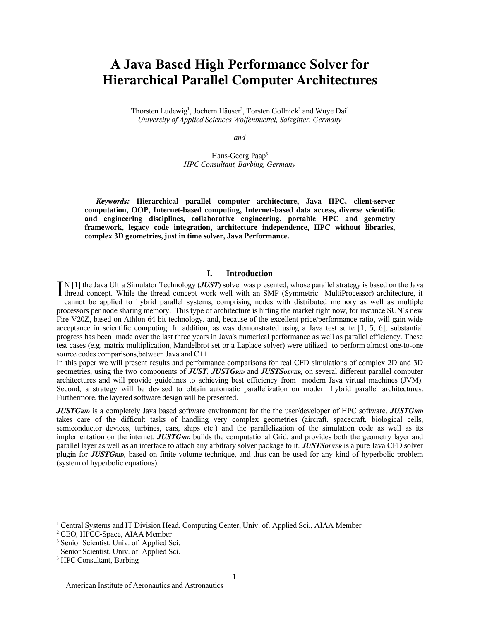# **A Java Based High Performance Solver for Hierarchical Parallel Computer Architectures**

Thorsten Ludewig<sup>1</sup>, Jochem Häuser<sup>2</sup>, Torsten Gollnick<sup>3</sup> and Wuye Dai<sup>4</sup> *University of Applied Sciences Wolfenbuettel, Salzgitter, Germany*

*and*

Hans-Georg Paap 5 *HPC Consultant, Barbing, Germany*

*Keywords:* **Hierarchical parallel computer architecture, Java HPC, client-server computation, OOP, Internet-based computing, Internet-based data access, diverse scientific and engineering disciplines, collaborative engineering, portable HPC and geometry framework, legacy code integration, architecture independence, HPC without libraries, complex 3D geometries, just in time solver, Java Performance.**

# **I. Introduction**

N [1] the Java Ultra Simulator Technology (*JUST*) solver was presented, whose parallel strategy is based on the Java  $\prod_{\text{N}}$  [1] the Java Ultra Simulator Technology (*JUST*) solver was presented, whose parallel strategy is based on the Java thread concept. While the thread concept work well with an SMP (Symmetric MultiProcessor) arch cannot be applied to hybrid parallel systems, comprising nodes with distributed memory as well as multiple processors per node sharing memory. This type of architecture is hitting the market right now, for instance SUN`s new Fire V20Z, based on Athlon 64 bit technology, and, because of the excellent price/performance ratio, will gain wide acceptance in scientific computing. In addition, as was demonstrated using a Java test suite [1, 5, 6], substantial progress has been made over the last three years in Java's numerical performance as well as parallel efficiency. These test cases (e.g. matrix multiplication, Mandelbrot set or a Laplace solver) were utilized to perform almost one-to-one source codes comparisons,between Java and C++.

In this paper we will present results and performance comparisons for real CFD simulations of complex 2D and 3D geometries, using the two components of *JUST*, *JUSTGRID* and *JUSTSOLVER,* on several different parallel computer architectures and will provide guidelines to achieving best efficiency from modern Java virtual machines (JVM). Second, a strategy will be devised to obtain automatic parallelization on modern hybrid parallel architectures. Furthermore, the layered software design will be presented.

*JUSTGRID* is a completely Java based software environment for the the user/developer of HPC software. *JUSTGRID* takes care of the difficult tasks of handling very complex geometries (aircraft, spacecraft, biological cells, semiconductor devices, turbines, cars, ships etc.) and the parallelization of the simulation code as well as its implementation on the internet. *JUSTGRID* builds the computational Grid, and provides both the geometry layer and parallel layer as well as an interface to attach any arbitrary solver package to it. *JUSTSOLVER* is a pure Java CFD solver plugin for *JUSTGRID*, based on finite volume technique, and thus can be used for any kind of hyperbolic problem (system of hyperbolic equations).

 $1$  Central Systems and IT Division Head, Computing Center, Univ. of. Applied Sci., AIAA Member

<sup>2</sup> CEO, HPCC-Space, AIAA Member

<sup>&</sup>lt;sup>3</sup> Senior Scientist, Univ. of. Applied Sci.

<sup>4</sup> Senior Scientist, Univ. of. Applied Sci.

<sup>5</sup> HPC Consultant, Barbing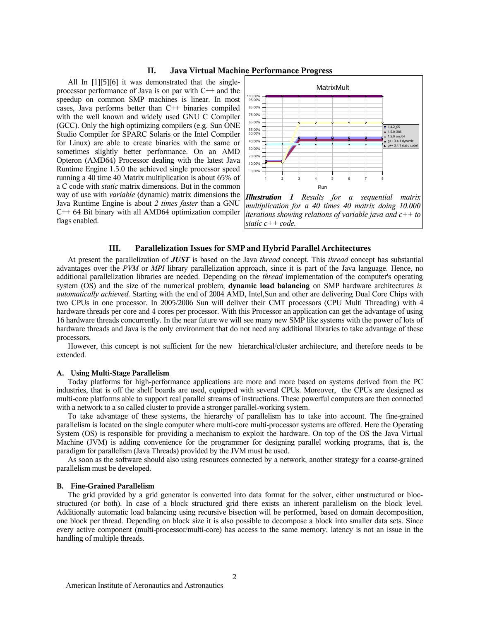# **II. Java Virtual Machine Performance Progress**

All In [1][5][6] it was demonstrated that the singleprocessor performance of Java is on par with C++ and the speedup on common SMP machines is linear. In most cases, Java performs better than C++ binaries compiled with the well known and widely used GNU C Compiler (GCC). Only the high optimizing compilers (e.g. Sun ONE Studio Compiler for SPARC Solaris or the Intel Compiler for Linux) are able to create binaries with the same or sometimes slightly better performance. On an AMD Opteron (AMD64) Processor dealing with the latest Java Runtime Engine 1.5.0 the achieved single processor speed running a 40 time 40 Matrix multiplication is about 65% of a C code with *static* matrix dimensions. But in the common way of use with *variable* (dynamic) matrix dimensions the Java Runtime Engine is about *2 times faster* than a GNU C++ 64 Bit binary with all AMD64 optimization compiler flags enabled.



*multiplication for a 40 times 40 matrix doing 10.000 iterations showing relations of variable java and c++ to static c++ code.*

#### **III. Parallelization Issues for SMP and Hybrid Parallel Architectures**

At present the parallelization of *JUST* is based on the Java *thread* concept. This *thread* concept has substantial advantages over the *PVM* or *MPI* library parallelization approach, since it is part of the Java language. Hence, no additional parallelization libraries are needed. Depending on the *thread* implementation of the computer's operating system (OS) and the size of the numerical problem, **dynamic load balancing** on SMP hardware architectures *is automatically achieved*. Starting with the end of 2004 AMD, Intel,Sun and other are delivering Dual Core Chips with two CPUs in one processor. In 2005/2006 Sun will deliver their CMT processors (CPU Multi Threading) with 4 hardware threads per core and 4 cores per processor. With this Processor an application can get the advantage of using 16 hardware threads concurrently. In the near future we will see many new SMP like systems with the power of lots of hardware threads and Java is the only environment that do not need any additional libraries to take advantage of these processors.

However, this concept is not sufficient for the new hierarchical/cluster architecture, and therefore needs to be extended.

#### **A. Using Multi-Stage Parallelism**

Today platforms for high-performance applications are more and more based on systems derived from the PC industries, that is off the shelf boards are used, equipped with several CPUs. Moreover, the CPUs are designed as multi-core platforms able to support real parallel streams of instructions. These powerful computers are then connected with a network to a so called cluster to provide a stronger parallel-working system.

To take advantage of these systems, the hierarchy of parallelism has to take into account. The fine-grained parallelism is located on the single computer where multi-core multi-processor systems are offered. Here the Operating System (OS) is responsible for providing a mechanism to exploit the hardware. On top of the OS the Java Virtual Machine (JVM) is adding convenience for the programmer for designing parallel working programs, that is, the paradigm for parallelism (Java Threads) provided by the JVM must be used.

As soon as the software should also using resources connected by a network, another strategy for a coarse-grained parallelism must be developed.

#### **B. Fine-Grained Parallelism**

The grid provided by a grid generator is converted into data format for the solver, either unstructured or blocstructured (or both). In case of a block structured grid there exists an inherent parallelism on the block level. Additionally automatic load balancing using recursive bisection will be performed, based on domain decomposition, one block per thread. Depending on block size it is also possible to decompose a block into smaller data sets. Since every active component (multi-processor/multi-core) has access to the same memory, latency is not an issue in the handling of multiple threads.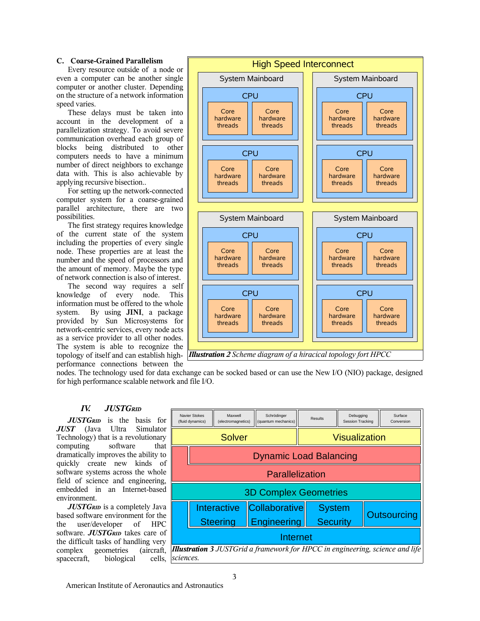## **C. Coarse-Grained Parallelism**

Every resource outside of a node or even a computer can be another single computer or another cluster. Depending on the structure of a network information speed varies.

These delays must be taken into account in the development of a parallelization strategy. To avoid severe communication overhead each group of blocks being distributed to other computers needs to have a minimum number of direct neighbors to exchange data with. This is also achievable by applying recursive bisection..

For setting up the network-connected computer system for a coarse-grained parallel architecture, there are two possibilities.

The first strategy requires knowledge of the current state of the system including the properties of every single node. These properties are at least the number and the speed of processors and the amount of memory. Maybe the type of network connection is also of interest.

The second way requires a self knowledge of every node. This information must be offered to the whole system. By using **JINI**, a package provided by Sun Microsystems for network-centric services, every node acts as a service provider to all other nodes. The system is able to recognize the topology of itself and can establish highperformance connections between the



*Illustration2 Scheme diagram of a hiracical topology fort HPCC*

nodes. The technology used for data exchange can be socked based or can use the New I/O (NIO) package, designed for high performance scalable network and file I/O.

# *IV. JUSTGRID*

*JUSTGRID* is the basis for *JUST* (Java Ultra Simulator Technology) that is a revolutionary computing software that dramatically improves the ability to quickly create new kinds of software systems across the whole field of science and engineering, embedded in an Internet-based environment.

*JUSTGRID* is a completely Java based software environment for the the user/developer of HPC software. *JUSTGRID* takes care of the difficult tasks of handling very complex geometries (aircraft, spacecraft, biological cells,

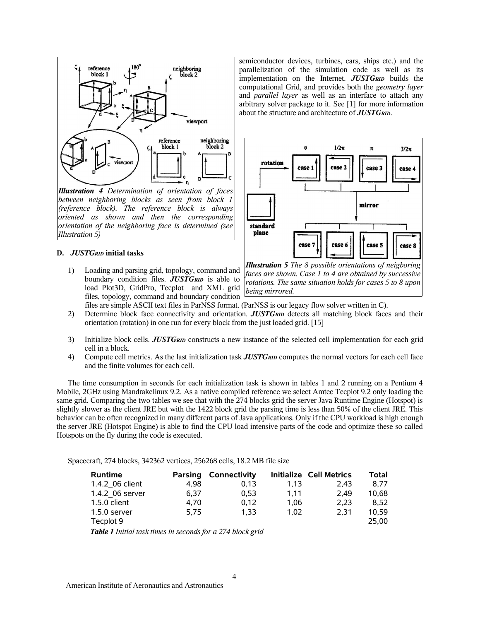

*Illustration 4 Determination of orientation of faces between neighboring blocks as seen from block 1 (reference block). The reference block is always oriented as shown and then the corresponding orientation of the neighboring face is determined (see Illustration 5)*

## **D.** *JUSTGRID* **initial tasks**

1) Loading and parsing grid, topology, command and boundary condition files. *JUSTGRID* is able to load Plot3D, GridPro, Tecplot and XML grid files, topology, command and boundary condition

semiconductor devices, turbines, cars, ships etc.) and the parallelization of the simulation code as well as its implementation on the Internet. *JUSTGRID* builds the computational Grid, and provides both the *geometry layer* and *parallel layer* as well as an interface to attach any arbitrary solver package to it. See [1] for more information about the structure and architecture of *JUSTGRID*.



*Illustration 5 The 8 possible orientations of neigboring faces are shown. Case 1 to 4 are obtained by successive rotations. The same situation holds for cases 5 to 8 upon being mirrored.*

files are simple ASCII text files in ParNSS format. (ParNSS is our legacy flow solver written in C).

- 2) Determine block face connectivity and orientation. *JUSTGRID* detects all matching block faces and their orientation (rotation) in one run for every block from the just loaded grid. [15]
- 3) Initialize block cells. *JUSTGRID* constructs a new instance of the selected cell implementation for each grid cell in a block.
- 4) Compute cell metrics. As the last initialization task *JUSTGRID* computes the normal vectors for each cell face and the finite volumes for each cell.

The time consumption in seconds for each initialization task is shown in tables 1 and 2 running on a Pentium 4 Mobile, 2GHz using Mandrakelinux 9.2. As a native compiled reference we select Amtec Tecplot 9.2 only loading the same grid. Comparing the two tables we see that with the 274 blocks grid the server Java Runtime Engine (Hotspot) is slightly slower as the client JRE but with the 1422 block grid the parsing time is less than 50% of the client JRE. This behavior can be often recognized in many different parts of Java applications. Only if the CPU workload is high enough the server JRE (Hotspot Engine) is able to find the CPU load intensive parts of the code and optimize these so called Hotspots on the fly during the code is executed.

Spacecraft, 274 blocks, 342362 vertices, 256268 cells, 18.2 MB file size

| <b>Runtime</b>                                                                                                                                 | <b>Parsing</b> | <b>Connectivity</b> |      | <b>Initialize Cell Metrics</b> | Total |
|------------------------------------------------------------------------------------------------------------------------------------------------|----------------|---------------------|------|--------------------------------|-------|
| 1.4.2 06 client                                                                                                                                | 4.98           | 0.13                | 1.13 | 2.43                           | 8.77  |
| 1.4.2 06 server                                                                                                                                | 6.37           | 0.53                | 1.11 | 2.49                           | 10.68 |
| 1.5.0 client                                                                                                                                   | 4.70           | 0.12                | 1.06 | 2.23                           | 8.52  |
| $1.5.0$ server                                                                                                                                 | 5.75           | 1.33                | 1.02 | 2.31                           | 10.59 |
| Tecplot 9                                                                                                                                      |                |                     |      |                                | 25.00 |
| $T_{\alpha}L_{\alpha}$ , 1 $L_{\alpha}L_{\alpha}L_{\alpha}L_{\alpha}L_{\alpha}$ is a secondaries of $T_{\alpha}L_{\alpha}L_{\alpha}L_{\alpha}$ |                |                     |      |                                |       |

*Table 1 Initial task times in seconds for a 274 block grid*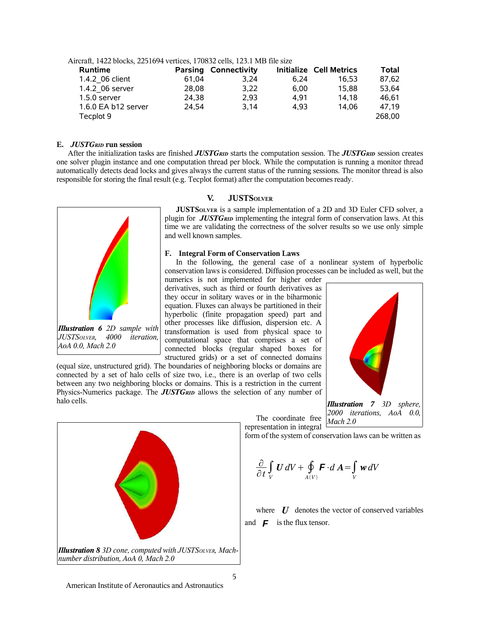| Aircraft, 1422 blocks, 2251694 vertices, 170832 cells, 123.1 MB file size |       |                             |      |                                |              |
|---------------------------------------------------------------------------|-------|-----------------------------|------|--------------------------------|--------------|
| <b>Runtime</b>                                                            |       | <b>Parsing Connectivity</b> |      | <b>Initialize Cell Metrics</b> | <b>Total</b> |
| 1.4.2 06 client                                                           | 61.04 | 3.24                        | 6.24 | 16.53                          | 87,62        |
| 1.4.2 06 server                                                           | 28.08 | 3.22                        | 6.00 | 15.88                          | 53,64        |
| $1.5.0$ server                                                            | 24,38 | 2.93                        | 4.91 | 14.18                          | 46.61        |
| 1.6.0 EA b12 server                                                       | 24.54 | 3.14                        | 4.93 | 14.06                          | 47,19        |
| Tecplot 9                                                                 |       |                             |      |                                | 268,00       |

#### **E.** *JUSTGRID* **run session**

After the initialization tasks are finished *JUSTGRID* starts the computation session. The *JUSTGRID* session creates one solver plugin instance and one computation thread per block. While the computation is running a monitor thread automatically detects dead locks and gives always the current status of the running sessions. The monitor thread is also responsible for storing the final result (e.g. Tecplot format) after the computation becomes ready.



#### **V. JUSTSOLVER**

**JUSTSOLVER** is a sample implementation of a 2D and 3D Euler CFD solver, a plugin for *JUSTGRID* implementing the integral form of conservation laws. At this time we are validating the correctness of the solver results so we use only simple and well known samples.

#### **F. Integral Form of Conservation Laws**

In the following, the general case of a nonlinear system of hyperbolic conservation laws is considered. Diffusion processes can be included as well, but the

The coordinate free

numerics is not implemented for higher order derivatives, such as third or fourth derivatives as they occur in solitary waves or in the biharmonic equation. Fluxes can always be partitioned in their hyperbolic (finite propagation speed) part and other processes like diffusion, dispersion etc. A transformation is used from physical space to computational space that comprises a set of connected blocks (regular shaped boxes for structured grids) or a set of connected domains

(equal size, unstructured grid). The boundaries of neighboring blocks or domains are connected by a set of halo cells of size two, i.e., there is an overlap of two cells between any two neighboring blocks or domains. This is a restriction in the current Physics-Numerics package. The *JUSTGRID* allows the selection of any number of halo cells.





form of the system of conservation laws can be written as

$$
\frac{\partial}{\partial t} \int\limits_V U \, dV + \oint\limits_{A(V)} \mathbf{F} \cdot d\mathbf{A} = \int\limits_V w \, dV
$$

where *U* denotes the vector of conserved variables and  $\boldsymbol{F}$  is the flux tensor.



American Institute of Aeronautics and Astronautics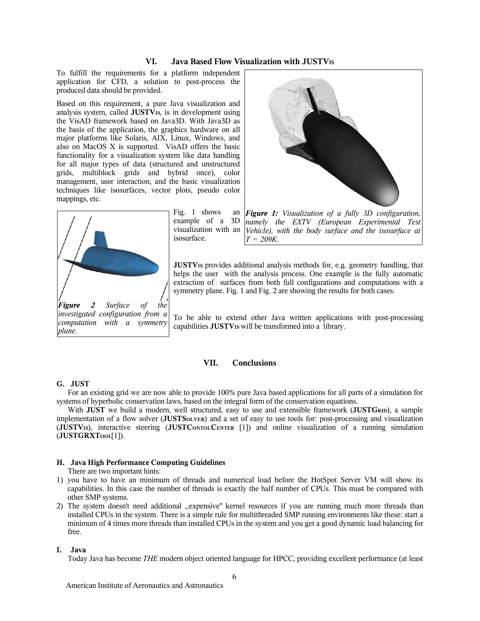# **VI. Java Based Flow Visualization with JUSTVIS**

To fulfill the requirements for a platform independent application for CFD, a solution to post-process the produced data should be provided.

Based on this requirement, a pure Java visualization and analysis system, called **JUSTVIS**, is in development using the VisAD framework based on Java3D. With Java3D as the basis of the application, the graphics hardware on all major platforms like Solaris, AIX, Linux, Windows, and also on MacOS X is supported. VisAD offers the basic functionality for a visualization system like data handling for all major types of data (structured and unstructured grids, multiblock grids and hybrid once), color management, user interaction, and the basic visualization techniques like isosurfaces, vector plots, pseudo color mappings, etc.



Fig.  $1$  shows example of a 3D visualization with an isosurface.



*Figure 1: Visualization of a fully 3D configuration, namely the EXTV (European Experimental Test Vehicle), with the body surface and the isosurface at T = 209K.*

**JUSTV**<sub>IS</sub> provides additional analysis methods for, e.g. geometry handling, that helps the user with the analysis process. One example is the fully automatic extraction of surfaces from both full configurations and computations with a symmetry plane. Fig. 1 and Fig. 2 are showing the results for both cases.

To be able to extend other Java written applications with post-processing capabilities **JUSTVIS** will be transformed into a library.

# **VII. Conclusions**

## **G. JUST**

For an existing grid we are now able to provide 100% pure Java based applications for all parts of a simulation for systems of hyperbolic conservation laws, based on the integral form of the conservation equations.

With **JUST** we build a modern, well structured, easy to use and extensible framework (JUSTGRID), a sample implementation of a flow solver (**JUSTSOLVER**) and a set of easy to use tools for: post-processing and visualization (**JUSTVIS**), interactive steering (**JUSTCONTOLCENTER** [1]) and online visualization of a running simulation (**JUSTGRXTOOL**[1]).

#### **H. Java High Performance Computing Guidelines**

There are two important hints:

- 1) you have to have an minimum of threads and numerical load before the HotSpot Server VM will show its capabilities. In this case the number of threads is exactly the half number of CPUs. This must be compared with other SMP systems.
- 2) The system doesn't need additional ,,expensive'' kernel resources if you are running much more threads than installed CPUs in the system. There is a simple rule for multithreaded SMP running environments like these: start a minimum of 4 times more threads than installed CPUs in the system and you get a good dynamic load balancing for free.

#### **I. Java**

Today Java has become *THE* modern object oriented language for HPCC, providing excellent performance (at least